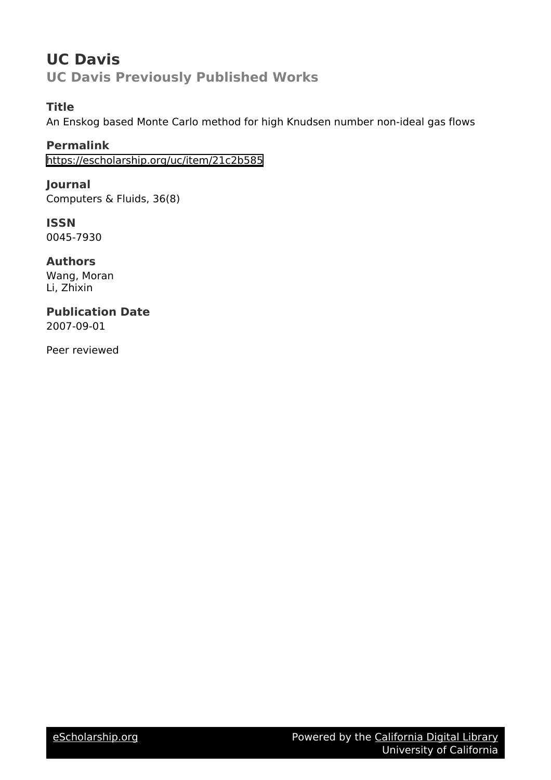# **UC Davis UC Davis Previously Published Works**

# **Title**

An Enskog based Monte Carlo method for high Knudsen number non-ideal gas flows

**Permalink** <https://escholarship.org/uc/item/21c2b585>

**Journal** Computers & Fluids, 36(8)

**ISSN** 0045-7930

**Authors** Wang, Moran Li, Zhixin

**Publication Date** 2007-09-01

Peer reviewed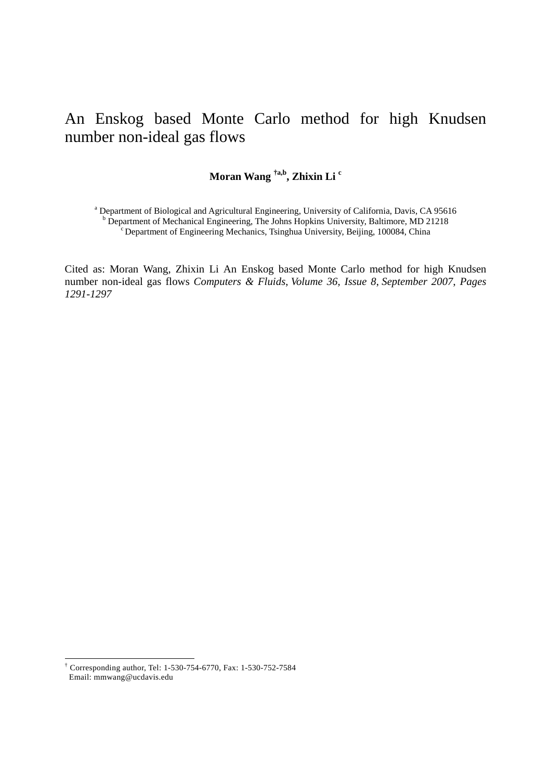# An Enskog based Monte Carlo method for high Knudsen number non-ideal gas flows

# **Moran Wang †a,b, Zhixin Li c**

<sup>a</sup> Department of Biological and Agricultural Engineering, University of California, Davis, CA 95616 <sup>b</sup> Department of Mechanical Engineering, The Johns Hopkins University, Baltimore, MD 21218  $\overline{C}$  Department of Engineering Mechanics, Tsinghua University, Beijing, 100084, China

Cited as: Moran Wang, Zhixin Li An Enskog based Monte Carlo method for high Knudsen number non-ideal gas flows *Computers & Fluids*, *Volume 36, Issue 8*, *September 2007*, *Pages 1291-1297*

 † Corresponding author, Tel: 1-530-754-6770, Fax: 1-530-752-7584 Email: mmwang@ucdavis.edu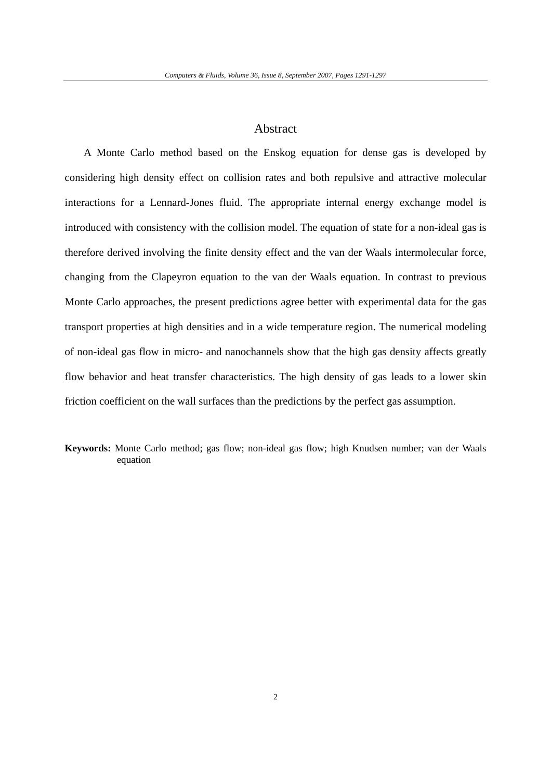# Abstract

A Monte Carlo method based on the Enskog equation for dense gas is developed by considering high density effect on collision rates and both repulsive and attractive molecular interactions for a Lennard-Jones fluid. The appropriate internal energy exchange model is introduced with consistency with the collision model. The equation of state for a non-ideal gas is therefore derived involving the finite density effect and the van der Waals intermolecular force, changing from the Clapeyron equation to the van der Waals equation. In contrast to previous Monte Carlo approaches, the present predictions agree better with experimental data for the gas transport properties at high densities and in a wide temperature region. The numerical modeling of non-ideal gas flow in micro- and nanochannels show that the high gas density affects greatly flow behavior and heat transfer characteristics. The high density of gas leads to a lower skin friction coefficient on the wall surfaces than the predictions by the perfect gas assumption.

**Keywords:** Monte Carlo method; gas flow; non-ideal gas flow; high Knudsen number; van der Waals equation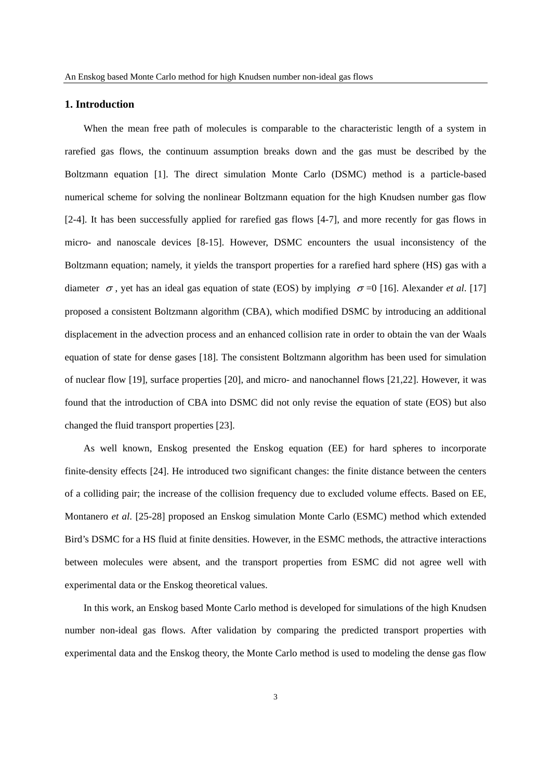### **1. Introduction**

When the mean free path of molecules is comparable to the characteristic length of a system in rarefied gas flows, the continuum assumption breaks down and the gas must be described by the Boltzmann equation [1]. The direct simulation Monte Carlo (DSMC) method is a particle-based numerical scheme for solving the nonlinear Boltzmann equation for the high Knudsen number gas flow [2-4]. It has been successfully applied for rarefied gas flows [4-7], and more recently for gas flows in micro- and nanoscale devices [8-15]. However, DSMC encounters the usual inconsistency of the Boltzmann equation; namely, it yields the transport properties for a rarefied hard sphere (HS) gas with a diameter  $\sigma$ , yet has an ideal gas equation of state (EOS) by implying  $\sigma$  =0 [16]. Alexander *et al.* [17] proposed a consistent Boltzmann algorithm (CBA), which modified DSMC by introducing an additional displacement in the advection process and an enhanced collision rate in order to obtain the van der Waals equation of state for dense gases [18]. The consistent Boltzmann algorithm has been used for simulation of nuclear flow [19], surface properties [20], and micro- and nanochannel flows [21,22]. However, it was found that the introduction of CBA into DSMC did not only revise the equation of state (EOS) but also changed the fluid transport properties [23].

As well known, Enskog presented the Enskog equation (EE) for hard spheres to incorporate finite-density effects [24]. He introduced two significant changes: the finite distance between the centers of a colliding pair; the increase of the collision frequency due to excluded volume effects. Based on EE, Montanero *et al*. [25-28] proposed an Enskog simulation Monte Carlo (ESMC) method which extended Bird's DSMC for a HS fluid at finite densities. However, in the ESMC methods, the attractive interactions between molecules were absent, and the transport properties from ESMC did not agree well with experimental data or the Enskog theoretical values.

In this work, an Enskog based Monte Carlo method is developed for simulations of the high Knudsen number non-ideal gas flows. After validation by comparing the predicted transport properties with experimental data and the Enskog theory, the Monte Carlo method is used to modeling the dense gas flow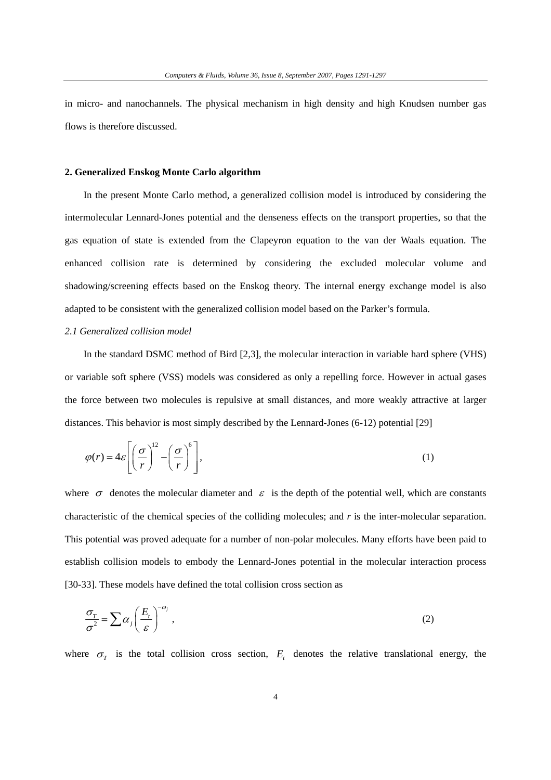in micro- and nanochannels. The physical mechanism in high density and high Knudsen number gas flows is therefore discussed.

### **2. Generalized Enskog Monte Carlo algorithm**

In the present Monte Carlo method, a generalized collision model is introduced by considering the intermolecular Lennard-Jones potential and the denseness effects on the transport properties, so that the gas equation of state is extended from the Clapeyron equation to the van der Waals equation. The enhanced collision rate is determined by considering the excluded molecular volume and shadowing/screening effects based on the Enskog theory. The internal energy exchange model is also adapted to be consistent with the generalized collision model based on the Parker's formula.

#### *2.1 Generalized collision model*

In the standard DSMC method of Bird [2,3], the molecular interaction in variable hard sphere (VHS) or variable soft sphere (VSS) models was considered as only a repelling force. However in actual gases the force between two molecules is repulsive at small distances, and more weakly attractive at larger distances. This behavior is most simply described by the Lennard-Jones (6-12) potential [29]

$$
\varphi(r) = 4\varepsilon \left[ \left( \frac{\sigma}{r} \right)^{12} - \left( \frac{\sigma}{r} \right)^{6} \right],\tag{1}
$$

where  $\sigma$  denotes the molecular diameter and  $\varepsilon$  is the depth of the potential well, which are constants characteristic of the chemical species of the colliding molecules; and *r* is the inter-molecular separation. This potential was proved adequate for a number of non-polar molecules. Many efforts have been paid to establish collision models to embody the Lennard-Jones potential in the molecular interaction process [30-33]. These models have defined the total collision cross section as

$$
\frac{\sigma_T}{\sigma^2} = \sum \alpha_j \left(\frac{E_t}{\varepsilon}\right)^{-\omega_j},\tag{2}
$$

where  $\sigma_r$  is the total collision cross section,  $E_t$  denotes the relative translational energy, the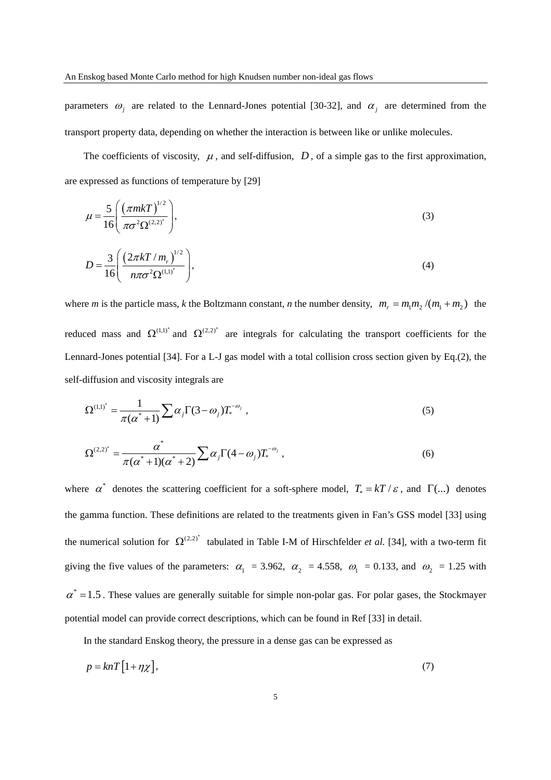parameters  $\omega_j$  are related to the Lennard-Jones potential [30-32], and  $\alpha_j$  are determined from the transport property data, depending on whether the interaction is between like or unlike molecules.

The coefficients of viscosity,  $\mu$ , and self-diffusion,  $D$ , of a simple gas to the first approximation, are expressed as functions of temperature by [29]

$$
\mu = \frac{5}{16} \left( \frac{(\pi m k T)^{1/2}}{\pi \sigma^2 \Omega^{(2,2)^*}} \right),\tag{3}
$$

$$
D = \frac{3}{16} \left( \frac{(2\pi kT/m_r)^{1/2}}{n\pi\sigma^2 \Omega^{(1,1)^*}} \right),
$$
 (4)

where *m* is the particle mass, *k* the Boltzmann constant, *n* the number density,  $m_r = m_1 m_2 / (m_1 + m_2)$  the reduced mass and  $\Omega^{(1,1)^*}$  and  $\Omega^{(2,2)^*}$  are integrals for calculating the transport coefficients for the Lennard-Jones potential [34]. For a L-J gas model with a total collision cross section given by Eq.(2), the self-diffusion and viscosity integrals are

$$
\Omega^{(1,1)^{*}} = \frac{1}{\pi(\alpha^{*}+1)} \sum \alpha_{j} \Gamma(3-\omega_{j}) T_{*}^{-\omega_{j}} , \qquad (5)
$$

$$
\Omega^{(2,2)^{*}} = \frac{\alpha^{*}}{\pi(\alpha^{*}+1)(\alpha^{*}+2)} \sum \alpha_{j} \Gamma(4-\omega_{j}) T_{*}^{-\omega_{j}}, \qquad (6)
$$

where  $\alpha^*$  denotes the scattering coefficient for a soft-sphere model,  $T_* = kT / \varepsilon$ , and  $\Gamma$ (...) denotes the gamma function. These definitions are related to the treatments given in Fan's GSS model [33] using the numerical solution for  $\Omega^{(2,2)^*}$  tabulated in Table I-M of Hirschfelder *et al.* [34], with a two-term fit giving the five values of the parameters:  $\alpha_1 = 3.962$ ,  $\alpha_2 = 4.558$ ,  $\omega_1 = 0.133$ , and  $\omega_2 = 1.25$  with  $\alpha^* = 1.5$ . These values are generally suitable for simple non-polar gas. For polar gases, the Stockmayer potential model can provide correct descriptions, which can be found in Ref [33] in detail.

In the standard Enskog theory, the pressure in a dense gas can be expressed as

$$
p = knT \left[ 1 + \eta \chi \right],\tag{7}
$$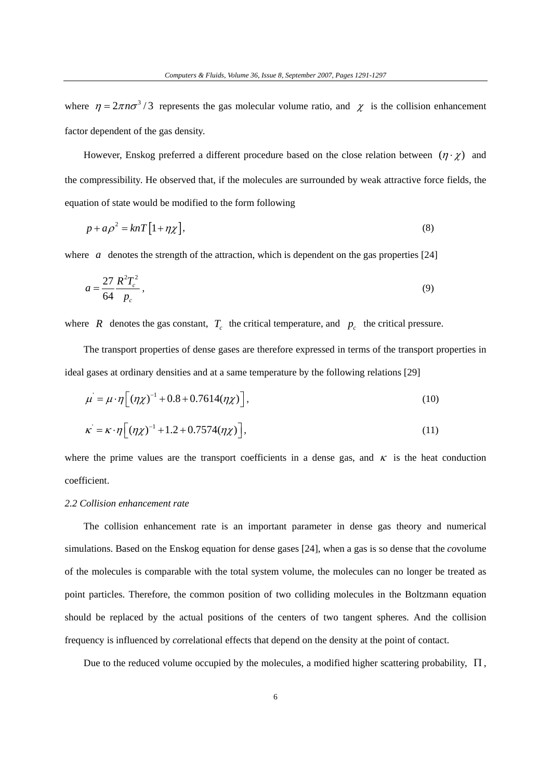where  $\eta = 2\pi n \sigma^3/3$  represents the gas molecular volume ratio, and  $\chi$  is the collision enhancement factor dependent of the gas density.

However, Enskog preferred a different procedure based on the close relation between  $(\eta \cdot \chi)$  and the compressibility. He observed that, if the molecules are surrounded by weak attractive force fields, the equation of state would be modified to the form following

$$
p + a\rho^2 = knT\left[1 + \eta \chi\right],\tag{8}
$$

where *a* denotes the strength of the attraction, which is dependent on the gas properties [24]

$$
a = \frac{27}{64} \frac{R^2 T_c^2}{p_c},
$$
\t(9)

where *R* denotes the gas constant,  $T_c$  the critical temperature, and  $p_c$  the critical pressure.

The transport properties of dense gases are therefore expressed in terms of the transport properties in ideal gases at ordinary densities and at a same temperature by the following relations [29]

$$
\mu = \mu \cdot \eta \Big[ (\eta \chi)^{-1} + 0.8 + 0.7614 (\eta \chi) \Big],
$$
\n(10)

$$
\kappa = \kappa \cdot \eta \left[ \left( \eta \chi \right)^{-1} + 1.2 + 0.7574 \left( \eta \chi \right) \right],\tag{11}
$$

where the prime values are the transport coefficients in a dense gas, and  $\kappa$  is the heat conduction coefficient.

## *2.2 Collision enhancement rate*

The collision enhancement rate is an important parameter in dense gas theory and numerical simulations. Based on the Enskog equation for dense gases [24], when a gas is so dense that the *co*volume of the molecules is comparable with the total system volume, the molecules can no longer be treated as point particles. Therefore, the common position of two colliding molecules in the Boltzmann equation should be replaced by the actual positions of the centers of two tangent spheres. And the collision frequency is influenced by *co*rrelational effects that depend on the density at the point of contact.

Due to the reduced volume occupied by the molecules, a modified higher scattering probability,  $\Pi$ ,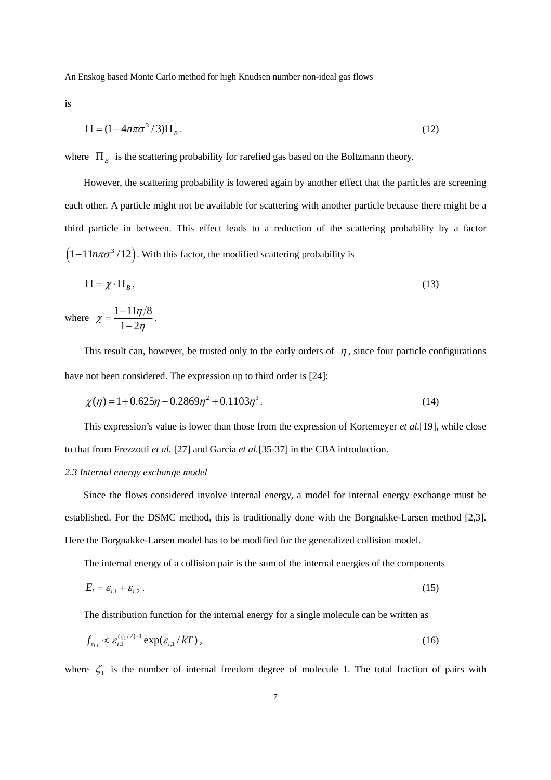is

$$
\Pi = (1 - 4n\pi\sigma^3 / 3)\Pi_B \,. \tag{12}
$$

where  $\Pi_B$  is the scattering probability for rarefied gas based on the Boltzmann theory.

However, the scattering probability is lowered again by another effect that the particles are screening each other. A particle might not be available for scattering with another particle because there might be a third particle in between. This effect leads to a reduction of the scattering probability by a factor  $(1 - 11n\pi\sigma^3/12)$ . With this factor, the modified scattering probability is

$$
\Pi = \chi \cdot \Pi_B, \tag{13}
$$

where  $\chi = \frac{1 - 11\eta/8}{\eta}$  $1 - 2$  $\chi = \frac{1-1}{1-\epsilon}$  $=\frac{1-11\eta/8}{1-2\eta}$ .

This result can, however, be trusted only to the early orders of  $\eta$ , since four particle configurations have not been considered. The expression up to third order is [24]:

$$
\chi(\eta) = 1 + 0.625\eta + 0.2869\eta^{2} + 0.1103\eta^{3}.
$$
\n(14)

This expression's value is lower than those from the expression of Kortemeyer *et al.*[19], while close to that from Frezzotti *et al.* [27] and Garcia *et al.*[35-37] in the CBA introduction.

#### *2.3 Internal energy exchange model*

Since the flows considered involve internal energy, a model for internal energy exchange must be established. For the DSMC method, this is traditionally done with the Borgnakke-Larsen method [2,3]. Here the Borgnakke-Larsen model has to be modified for the generalized collision model.

The internal energy of a collision pair is the sum of the internal energies of the components

$$
E_i = \varepsilon_{i,1} + \varepsilon_{i,2} \,. \tag{15}
$$

The distribution function for the internal energy for a single molecule can be written as

$$
f_{\varepsilon_{i,1}} \propto \varepsilon_{i,1}^{(\zeta_1/2)-1} \exp(\varepsilon_{i,1}/kT), \qquad (16)
$$

where  $\zeta_1$  is the number of internal freedom degree of molecule 1. The total fraction of pairs with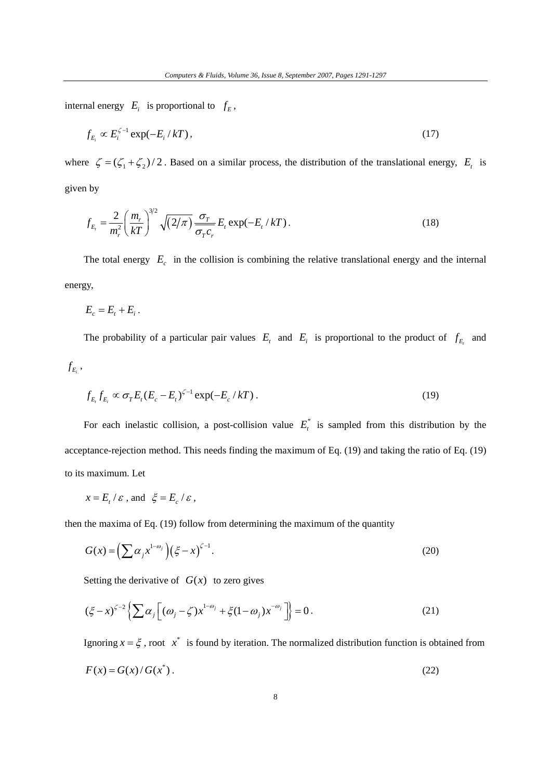internal energy  $E_i$  is proportional to  $f_E$ ,

$$
f_{E_i} \propto E_i^{\zeta - 1} \exp(-E_i / kT), \qquad (17)
$$

where  $\zeta = (\zeta_1 + \zeta_2)/2$ . Based on a similar process, the distribution of the translational energy,  $E_t$  is given by

$$
f_{E_t} = \frac{2}{m_r^2} \left(\frac{m_r}{kT}\right)^{3/2} \sqrt{(2/\pi)} \frac{\sigma_T}{\sigma_T c_r} E_t \exp(-E_t / kT). \tag{18}
$$

The total energy  $E_c$  in the collision is combining the relative translational energy and the internal energy,

 $E_c = E_t + E_i$ .

The probability of a particular pair values  $E_t$  and  $E_i$  is proportional to the product of  $f_{E_t}$  and

 $f_{E_i}$ ,

$$
f_{E_t} f_{E_i} \propto \sigma_T E_t (E_c - E_t)^{\zeta - 1} \exp(-E_c / kT). \tag{19}
$$

For each inelastic collision, a post-collision value  $E_t^*$  is sampled from this distribution by the acceptance-rejection method. This needs finding the maximum of Eq. (19) and taking the ratio of Eq. (19) to its maximum. Let

$$
x = E_t / \varepsilon \text{ , and } \xi = E_c / \varepsilon \text{ ,}
$$

then the maxima of Eq. (19) follow from determining the maximum of the quantity

$$
G(x) = \left(\sum \alpha_j x^{1-\omega_j}\right) \left(\xi - x\right)^{\zeta - 1}.\tag{20}
$$

Setting the derivative of  $G(x)$  to zero gives

$$
(\xi - x)^{\zeta - 2} \left\{ \sum \alpha_j \left[ (\omega_j - \zeta) x^{1 - \omega_j} + \xi (1 - \omega_j) x^{-\omega_j} \right] \right\} = 0.
$$
 (21)

Ignoring  $x = \xi$ , root  $x^*$  is found by iteration. The normalized distribution function is obtained from

$$
F(x) = G(x) / G(x^*)
$$
\n<sup>(22)</sup>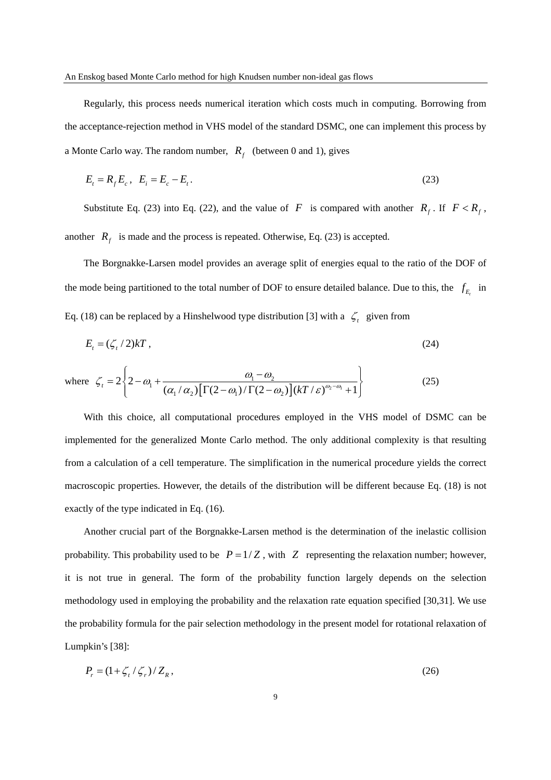Regularly, this process needs numerical iteration which costs much in computing. Borrowing from the acceptance-rejection method in VHS model of the standard DSMC, one can implement this process by a Monte Carlo way. The random number,  $R_f$  (between 0 and 1), gives

$$
E_t = R_f E_c, \ \ E_i = E_c - E_t. \tag{23}
$$

Substitute Eq. (23) into Eq. (22), and the value of *F* is compared with another  $R_f$ . If  $F < R_f$ , another  $R_f$  is made and the process is repeated. Otherwise, Eq. (23) is accepted.

The Borgnakke-Larsen model provides an average split of energies equal to the ratio of the DOF of the mode being partitioned to the total number of DOF to ensure detailed balance. Due to this, the  $f_{E_i}$  in Eq. (18) can be replaced by a Hinshelwood type distribution [3] with a  $\zeta_t$  given from

$$
E_t = (\zeta_t/2)kT,\tag{24}
$$

where 
$$
\zeta_i = 2\left\{2 - \omega_1 + \frac{\omega_1 - \omega_2}{(\alpha_1/\alpha_2)\left[\Gamma(2-\omega_1)/\Gamma(2-\omega_2)\right](kT/\varepsilon)^{\omega_2-\omega_1} + 1}\right\}
$$
 (25)

With this choice, all computational procedures employed in the VHS model of DSMC can be implemented for the generalized Monte Carlo method. The only additional complexity is that resulting from a calculation of a cell temperature. The simplification in the numerical procedure yields the correct macroscopic properties. However, the details of the distribution will be different because Eq. (18) is not exactly of the type indicated in Eq. (16).

Another crucial part of the Borgnakke-Larsen method is the determination of the inelastic collision probability. This probability used to be  $P = 1/Z$ , with  $Z$  representing the relaxation number; however, it is not true in general. The form of the probability function largely depends on the selection methodology used in employing the probability and the relaxation rate equation specified [30,31]. We use the probability formula for the pair selection methodology in the present model for rotational relaxation of Lumpkin's [38]:

$$
P_r = \left(1 + \zeta_t / \zeta_r\right) / Z_R,\tag{26}
$$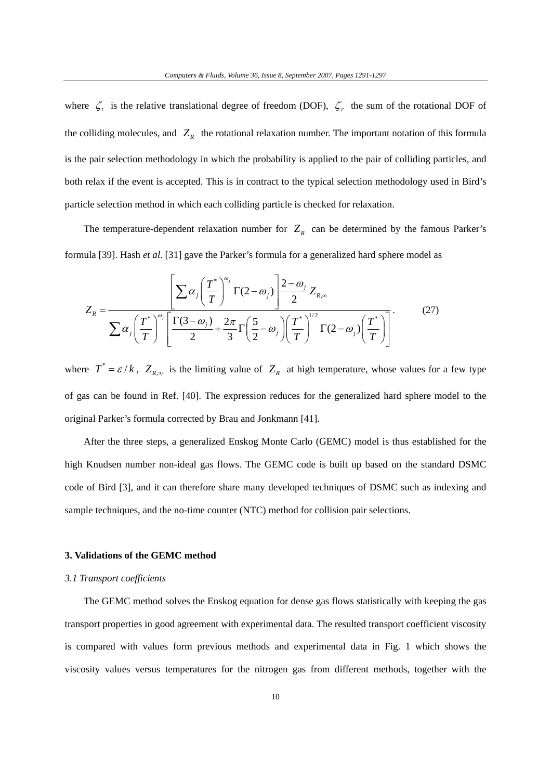where  $\zeta_t$  is the relative translational degree of freedom (DOF),  $\zeta_r$  the sum of the rotational DOF of the colliding molecules, and  $Z_R$  the rotational relaxation number. The important notation of this formula is the pair selection methodology in which the probability is applied to the pair of colliding particles, and both relax if the event is accepted. This is in contract to the typical selection methodology used in Bird's particle selection method in which each colliding particle is checked for relaxation.

The temperature-dependent relaxation number for  $Z_R$  can be determined by the famous Parker's formula [39]. Hash *et al*. [31] gave the Parker's formula for a generalized hard sphere model as

$$
Z_R = \frac{\left[\sum \alpha_j \left(\frac{T^*}{T}\right)^{\omega_j} \Gamma(2-\omega_j)\right] \frac{2-\omega_j}{2} Z_{R,\infty}}{\sum \alpha_j \left(\frac{T^*}{T}\right)^{\omega_j} \left[\frac{\Gamma(3-\omega_j)}{2} + \frac{2\pi}{3} \Gamma\left(\frac{5}{2}-\omega_j\right) \left(\frac{T^*}{T}\right)^{1/2} \Gamma(2-\omega_j) \left(\frac{T^*}{T}\right)\right]}.
$$
(27)

where  $T^* = \varepsilon / k$ ,  $Z_{R,\infty}$  is the limiting value of  $Z_R$  at high temperature, whose values for a few type of gas can be found in Ref. [40]. The expression reduces for the generalized hard sphere model to the original Parker's formula corrected by Brau and Jonkmann [41].

After the three steps, a generalized Enskog Monte Carlo (GEMC) model is thus established for the high Knudsen number non-ideal gas flows. The GEMC code is built up based on the standard DSMC code of Bird [3], and it can therefore share many developed techniques of DSMC such as indexing and sample techniques, and the no-time counter (NTC) method for collision pair selections.

### **3. Validations of the GEMC method**

#### *3.1 Transport coefficients*

The GEMC method solves the Enskog equation for dense gas flows statistically with keeping the gas transport properties in good agreement with experimental data. The resulted transport coefficient viscosity is compared with values form previous methods and experimental data in Fig. 1 which shows the viscosity values versus temperatures for the nitrogen gas from different methods, together with the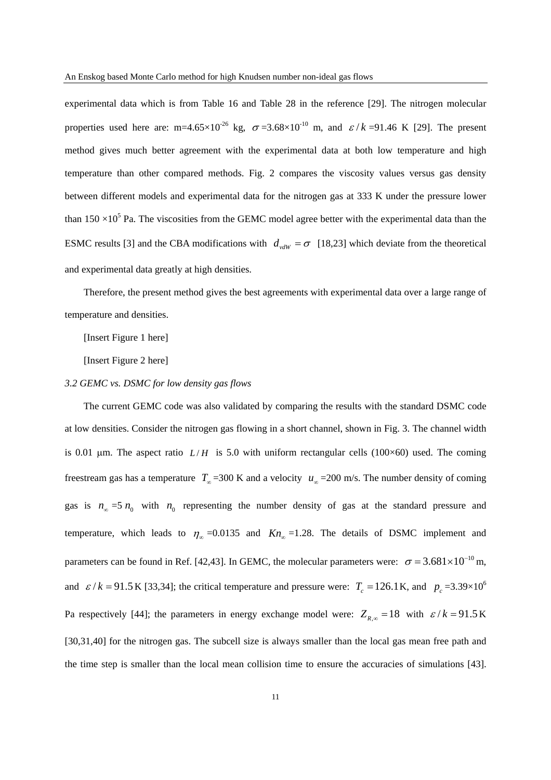experimental data which is from Table 16 and Table 28 in the reference [29]. The nitrogen molecular properties used here are: m=4.65×10<sup>-26</sup> kg,  $\sigma$ =3.68×10<sup>-10</sup> m, and  $\varepsilon / k$ =91.46 K [29]. The present method gives much better agreement with the experimental data at both low temperature and high temperature than other compared methods. Fig. 2 compares the viscosity values versus gas density between different models and experimental data for the nitrogen gas at 333 K under the pressure lower than  $150 \times 10^5$  Pa. The viscosities from the GEMC model agree better with the experimental data than the ESMC results [3] and the CBA modifications with  $d_{vdW} = \sigma$  [18,23] which deviate from the theoretical and experimental data greatly at high densities.

Therefore, the present method gives the best agreements with experimental data over a large range of temperature and densities.

[Insert Figure 1 here]

[Insert Figure 2 here]

### *3.2 GEMC vs. DSMC for low density gas flows*

The current GEMC code was also validated by comparing the results with the standard DSMC code at low densities. Consider the nitrogen gas flowing in a short channel, shown in Fig. 3. The channel width is 0.01  $\mu$ m. The aspect ratio *L/H* is 5.0 with uniform rectangular cells (100×60) used. The coming freestream gas has a temperature  $T_{\infty}$  =300 K and a velocity  $u_{\infty}$  =200 m/s. The number density of coming gas is  $n_{\infty} = 5 n_0$  with  $n_0$  representing the number density of gas at the standard pressure and temperature, which leads to  $\eta_{\infty} = 0.0135$  and  $Kn_{\infty} = 1.28$ . The details of DSMC implement and parameters can be found in Ref. [42,43]. In GEMC, the molecular parameters were:  $\sigma = 3.681 \times 10^{-10}$  m, and  $\varepsilon / k = 91.5$  K [33,34]; the critical temperature and pressure were:  $T_c = 126.1$  K, and  $p_c = 3.39 \times 10^6$ Pa respectively [44]; the parameters in energy exchange model were:  $Z_{R_{\infty}} = 18$  with  $\varepsilon / k = 91.5$  K [30,31,40] for the nitrogen gas. The subcell size is always smaller than the local gas mean free path and the time step is smaller than the local mean collision time to ensure the accuracies of simulations [43].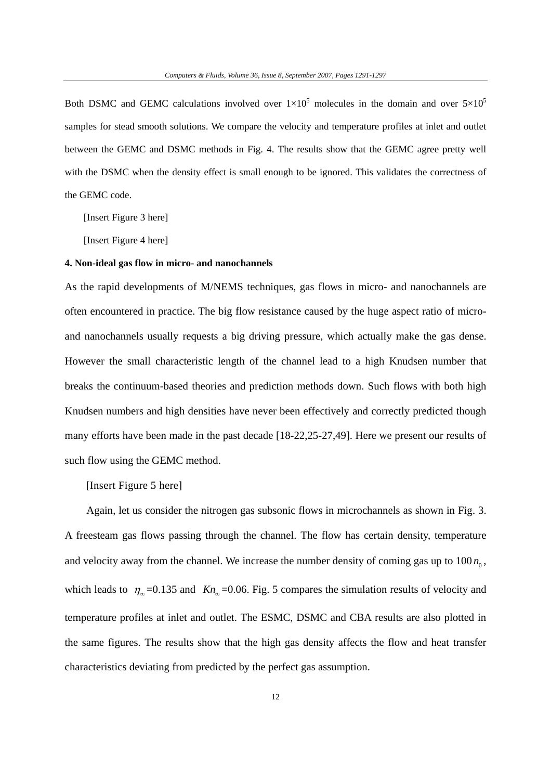Both DSMC and GEMC calculations involved over  $1\times10^5$  molecules in the domain and over  $5\times10^5$ samples for stead smooth solutions. We compare the velocity and temperature profiles at inlet and outlet between the GEMC and DSMC methods in Fig. 4. The results show that the GEMC agree pretty well with the DSMC when the density effect is small enough to be ignored. This validates the correctness of the GEMC code.

[Insert Figure 3 here]

[Insert Figure 4 here]

### **4. Non-ideal gas flow in micro- and nanochannels**

As the rapid developments of M/NEMS techniques, gas flows in micro- and nanochannels are often encountered in practice. The big flow resistance caused by the huge aspect ratio of microand nanochannels usually requests a big driving pressure, which actually make the gas dense. However the small characteristic length of the channel lead to a high Knudsen number that breaks the continuum-based theories and prediction methods down. Such flows with both high Knudsen numbers and high densities have never been effectively and correctly predicted though many efforts have been made in the past decade [18-22,25-27,49]. Here we present our results of such flow using the GEMC method.

[Insert Figure 5 here]

Again, let us consider the nitrogen gas subsonic flows in microchannels as shown in Fig. 3. A freesteam gas flows passing through the channel. The flow has certain density, temperature and velocity away from the channel. We increase the number density of coming gas up to  $100 n<sub>o</sub>$ , which leads to  $\eta_{\infty}$  =0.135 and *Kn*<sub>∞</sub> =0.06. Fig. 5 compares the simulation results of velocity and temperature profiles at inlet and outlet. The ESMC, DSMC and CBA results are also plotted in the same figures. The results show that the high gas density affects the flow and heat transfer characteristics deviating from predicted by the perfect gas assumption.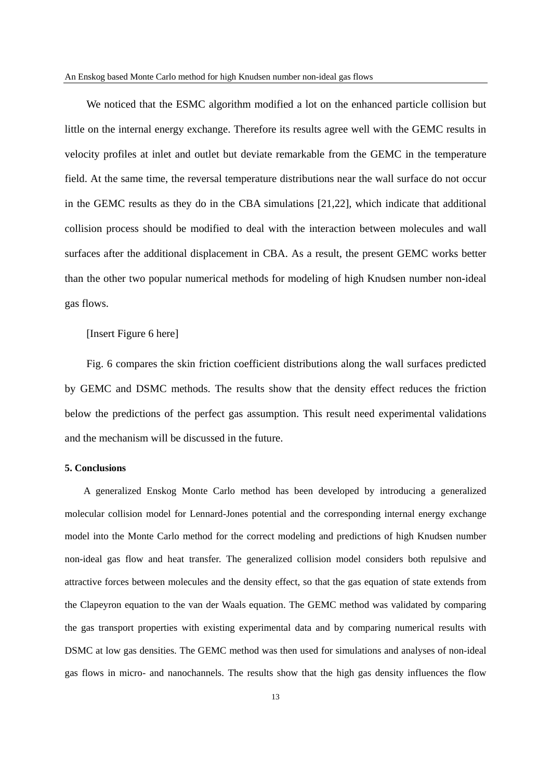We noticed that the ESMC algorithm modified a lot on the enhanced particle collision but little on the internal energy exchange. Therefore its results agree well with the GEMC results in velocity profiles at inlet and outlet but deviate remarkable from the GEMC in the temperature field. At the same time, the reversal temperature distributions near the wall surface do not occur in the GEMC results as they do in the CBA simulations [21,22], which indicate that additional collision process should be modified to deal with the interaction between molecules and wall surfaces after the additional displacement in CBA. As a result, the present GEMC works better than the other two popular numerical methods for modeling of high Knudsen number non-ideal gas flows.

## [Insert Figure 6 here]

Fig. 6 compares the skin friction coefficient distributions along the wall surfaces predicted by GEMC and DSMC methods. The results show that the density effect reduces the friction below the predictions of the perfect gas assumption. This result need experimental validations and the mechanism will be discussed in the future.

### **5. Conclusions**

A generalized Enskog Monte Carlo method has been developed by introducing a generalized molecular collision model for Lennard-Jones potential and the corresponding internal energy exchange model into the Monte Carlo method for the correct modeling and predictions of high Knudsen number non-ideal gas flow and heat transfer. The generalized collision model considers both repulsive and attractive forces between molecules and the density effect, so that the gas equation of state extends from the Clapeyron equation to the van der Waals equation. The GEMC method was validated by comparing the gas transport properties with existing experimental data and by comparing numerical results with DSMC at low gas densities. The GEMC method was then used for simulations and analyses of non-ideal gas flows in micro- and nanochannels. The results show that the high gas density influences the flow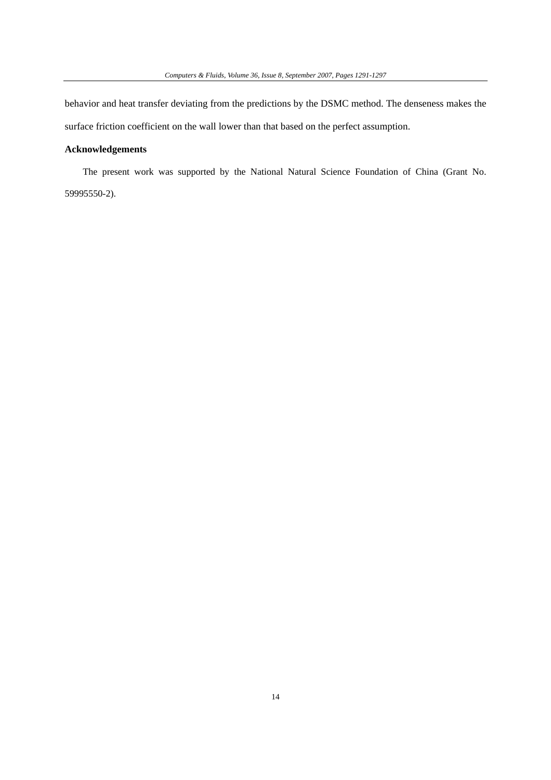behavior and heat transfer deviating from the predictions by the DSMC method. The denseness makes the surface friction coefficient on the wall lower than that based on the perfect assumption.

# **Acknowledgements**

The present work was supported by the National Natural Science Foundation of China (Grant No. 59995550-2).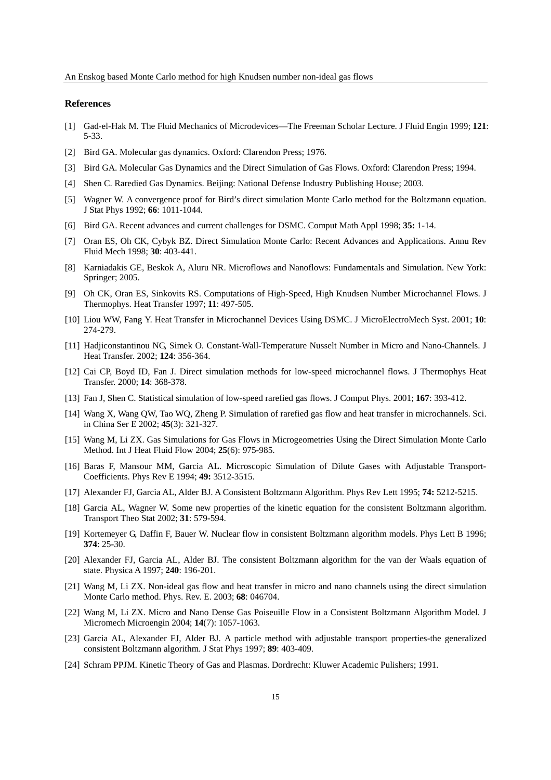#### **References**

- [1] Gad-el-Hak M. The Fluid Mechanics of Microdevices—The Freeman Scholar Lecture. J Fluid Engin 1999; **121**: 5-33.
- [2] Bird GA. Molecular gas dynamics. Oxford: Clarendon Press; 1976.
- [3] Bird GA. Molecular Gas Dynamics and the Direct Simulation of Gas Flows. Oxford: Clarendon Press; 1994.
- [4] Shen C. Raredied Gas Dynamics. Beijing: National Defense Industry Publishing House; 2003.
- [5] Wagner W. A convergence proof for Bird's direct simulation Monte Carlo method for the Boltzmann equation. J Stat Phys 1992; **66**: 1011-1044.
- [6] Bird GA. Recent advances and current challenges for DSMC. Comput Math Appl 1998; **35:** 1-14.
- [7] Oran ES, Oh CK, Cybyk BZ. Direct Simulation Monte Carlo: Recent Advances and Applications. Annu Rev Fluid Mech 1998; **30**: 403-441.
- [8] Karniadakis GE, Beskok A, Aluru NR. Microflows and Nanoflows: Fundamentals and Simulation. New York: Springer; 2005.
- [9] Oh CK, Oran ES, Sinkovits RS. Computations of High-Speed, High Knudsen Number Microchannel Flows. J Thermophys. Heat Transfer 1997; **11**: 497-505.
- [10] Liou WW, Fang Y. Heat Transfer in Microchannel Devices Using DSMC. J MicroElectroMech Syst. 2001; **10**: 274-279.
- [11] Hadjiconstantinou NG, Simek O. Constant-Wall-Temperature Nusselt Number in Micro and Nano-Channels. J Heat Transfer. 2002; **124**: 356-364.
- [12] Cai CP, Boyd ID, Fan J. Direct simulation methods for low-speed microchannel flows. J Thermophys Heat Transfer. 2000; **14**: 368-378.
- [13] Fan J, Shen C. Statistical simulation of low-speed rarefied gas flows. J Comput Phys. 2001; **167**: 393-412.
- [14] Wang X, Wang QW, Tao WQ, Zheng P. Simulation of rarefied gas flow and heat transfer in microchannels. Sci. in China Ser E 2002; **45**(3): 321-327.
- [15] Wang M, Li ZX. Gas Simulations for Gas Flows in Microgeometries Using the Direct Simulation Monte Carlo Method. Int J Heat Fluid Flow 2004; **25**(6): 975-985.
- [16] Baras F, Mansour MM, Garcia AL. Microscopic Simulation of Dilute Gases with Adjustable Transport-Coefficients. Phys Rev E 1994; **49:** 3512-3515.
- [17] Alexander FJ, Garcia AL, Alder BJ. A Consistent Boltzmann Algorithm. Phys Rev Lett 1995; **74:** 5212-5215.
- [18] Garcia AL, Wagner W. Some new properties of the kinetic equation for the consistent Boltzmann algorithm. Transport Theo Stat 2002; **31**: 579-594.
- [19] Kortemeyer G, Daffin F, Bauer W. Nuclear flow in consistent Boltzmann algorithm models. Phys Lett B 1996; **374**: 25-30.
- [20] Alexander FJ, Garcia AL, Alder BJ. The consistent Boltzmann algorithm for the van der Waals equation of state. Physica A 1997; **240**: 196-201.
- [21] Wang M, Li ZX. Non-ideal gas flow and heat transfer in micro and nano channels using the direct simulation Monte Carlo method. Phys. Rev. E. 2003; **68**: 046704.
- [22] Wang M, Li ZX. Micro and Nano Dense Gas Poiseuille Flow in a Consistent Boltzmann Algorithm Model. J Micromech Microengin 2004; **14**(7): 1057-1063.
- [23] Garcia AL, Alexander FJ, Alder BJ. A particle method with adjustable transport properties-the generalized consistent Boltzmann algorithm. J Stat Phys 1997; **89**: 403-409.
- [24] Schram PPJM. Kinetic Theory of Gas and Plasmas. Dordrecht: Kluwer Academic Pulishers; 1991.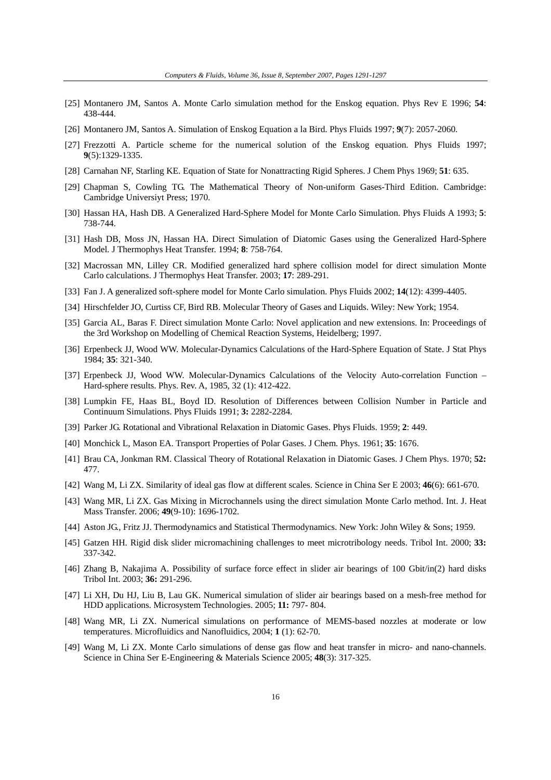- [25] Montanero JM, Santos A. Monte Carlo simulation method for the Enskog equation. Phys Rev E 1996; **54**: 438-444.
- [26] Montanero JM, Santos A. Simulation of Enskog Equation a la Bird. Phys Fluids 1997; **9**(7): 2057-2060.
- [27] Frezzotti A. Particle scheme for the numerical solution of the Enskog equation. Phys Fluids 1997; **9**(5):1329-1335.
- [28] Carnahan NF, Starling KE. Equation of State for Nonattracting Rigid Spheres. J Chem Phys 1969; **51**: 635.
- [29] Chapman S, Cowling TG. The Mathematical Theory of Non-uniform Gases-Third Edition. Cambridge: Cambridge Universiyt Press; 1970.
- [30] Hassan HA, Hash DB. A Generalized Hard-Sphere Model for Monte Carlo Simulation. Phys Fluids A 1993; **5**: 738-744.
- [31] Hash DB, Moss JN, Hassan HA. Direct Simulation of Diatomic Gases using the Generalized Hard-Sphere Model. J Thermophys Heat Transfer. 1994; **8**: 758-764.
- [32] Macrossan MN, Lilley CR. Modified generalized hard sphere collision model for direct simulation Monte Carlo calculations. J Thermophys Heat Transfer. 2003; **17**: 289-291.
- [33] Fan J. A generalized soft-sphere model for Monte Carlo simulation. Phys Fluids 2002; **14**(12): 4399-4405.
- [34] Hirschfelder JO, Curtiss CF, Bird RB. Molecular Theory of Gases and Liquids. Wiley: New York; 1954.
- [35] Garcia AL, Baras F. Direct simulation Monte Carlo: Novel application and new extensions. In: Proceedings of the 3rd Workshop on Modelling of Chemical Reaction Systems, Heidelberg; 1997.
- [36] Erpenbeck JJ, Wood WW. Molecular-Dynamics Calculations of the Hard-Sphere Equation of State. J Stat Phys 1984; **35**: 321-340.
- [37] Erpenbeck JJ, Wood WW. Molecular-Dynamics Calculations of the Velocity Auto-correlation Function Hard-sphere results. Phys. Rev. A, 1985, 32 (1): 412-422.
- [38] Lumpkin FE, Haas BL, Boyd ID. Resolution of Differences between Collision Number in Particle and Continuum Simulations. Phys Fluids 1991; **3:** 2282-2284.
- [39] Parker JG. Rotational and Vibrational Relaxation in Diatomic Gases. Phys Fluids. 1959; **2**: 449.
- [40] Monchick L, Mason EA. Transport Properties of Polar Gases. J Chem. Phys. 1961; **35**: 1676.
- [41] Brau CA, Jonkman RM. Classical Theory of Rotational Relaxation in Diatomic Gases. J Chem Phys. 1970; **52:** 477.
- [42] Wang M, Li ZX. Similarity of ideal gas flow at different scales. Science in China Ser E 2003; **46**(6): 661-670.
- [43] Wang MR, Li ZX. Gas Mixing in Microchannels using the direct simulation Monte Carlo method. Int. J. Heat Mass Transfer. 2006; **49**(9-10): 1696-1702.
- [44] Aston JG., Fritz JJ. Thermodynamics and Statistical Thermodynamics. New York: John Wiley & Sons; 1959.
- [45] Gatzen HH. Rigid disk slider micromachining challenges to meet microtribology needs. Tribol Int. 2000; **33:** 337-342.
- [46] Zhang B, Nakajima A. Possibility of surface force effect in slider air bearings of 100 Gbit/in(2) hard disks Tribol Int. 2003; **36:** 291-296.
- [47] Li XH, Du HJ, Liu B, Lau GK. Numerical simulation of slider air bearings based on a mesh-free method for HDD applications. Microsystem Technologies. 2005; **11:** 797- 804.
- [48] Wang MR, Li ZX. Numerical simulations on performance of MEMS-based nozzles at moderate or low temperatures. Microfluidics and Nanofluidics, 2004; **1** (1): 62-70.
- [49] Wang M, Li ZX. Monte Carlo simulations of dense gas flow and heat transfer in micro- and nano-channels. Science in China Ser E-Engineering & Materials Science 2005; **48**(3): 317-325.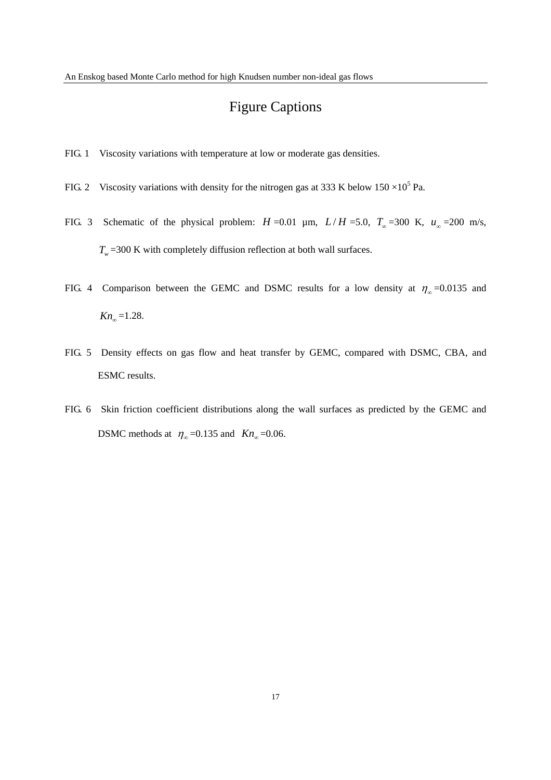# Figure Captions

- FIG. 1 Viscosity variations with temperature at low or moderate gas densities.
- FIG. 2 Viscosity variations with density for the nitrogen gas at 333 K below  $150 \times 10^5$  Pa.
- FIG. 3 Schematic of the physical problem:  $H = 0.01$  µm,  $L/H = 5.0$ ,  $T_{\infty} = 300$  K,  $u_{\infty} = 200$  m/s,  $T_w$  =300 K with completely diffusion reflection at both wall surfaces.
- FIG. 4 Comparison between the GEMC and DSMC results for a low density at  $\eta_{\infty}$  =0.0135 and  $Kn_{\infty} = 1.28$ .
- FIG. 5 Density effects on gas flow and heat transfer by GEMC, compared with DSMC, CBA, and ESMC results.
- FIG. 6 Skin friction coefficient distributions along the wall surfaces as predicted by the GEMC and DSMC methods at  $\eta_{\infty}$ =0.135 and  $Kn_{\infty}$ =0.06.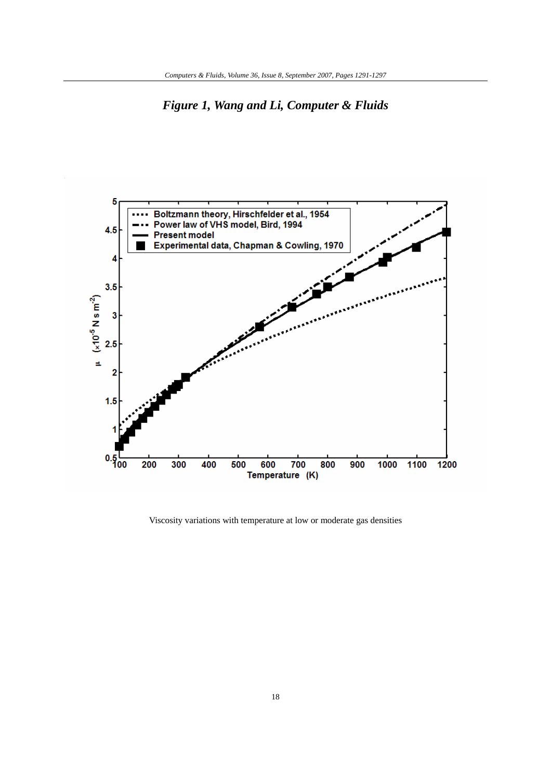*Figure 1, Wang and Li, Computer & Fluids* 



Viscosity variations with temperature at low or moderate gas densities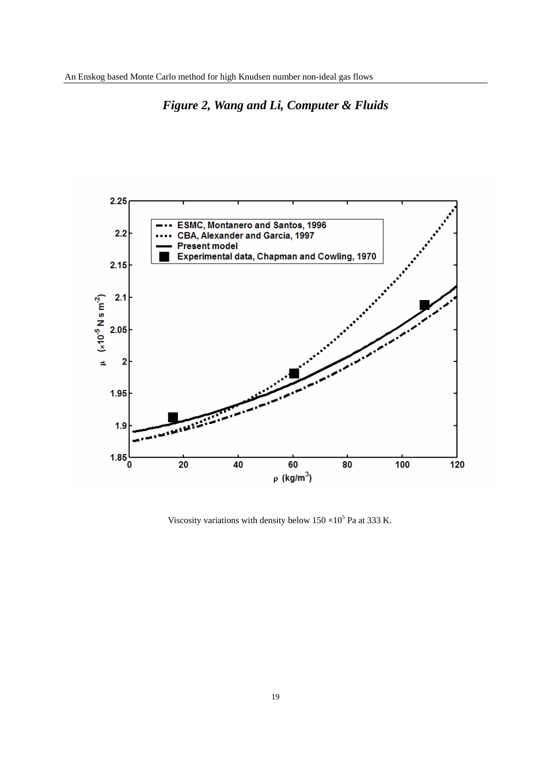

# *Figure 2, Wang and Li, Computer & Fluids*

Viscosity variations with density below  $150 \times 10^5$  Pa at 333 K.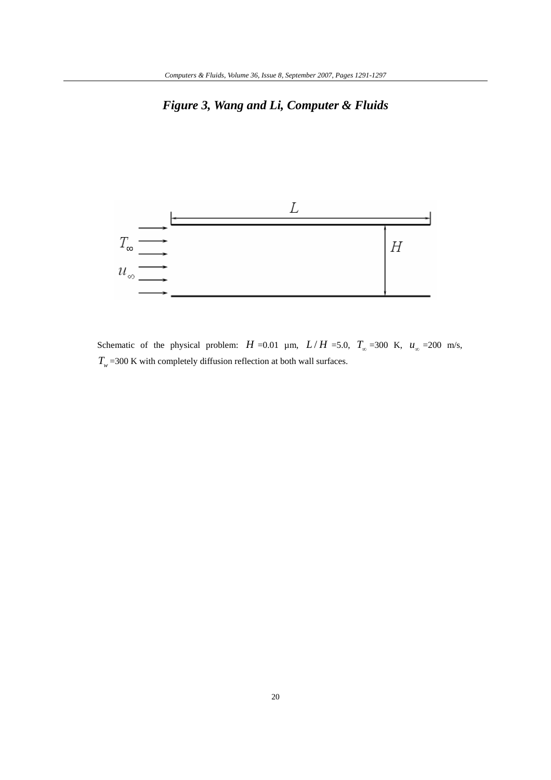# *Figure 3, Wang and Li, Computer & Fluids*



Schematic of the physical problem:  $H = 0.01$  µm,  $L/H = 5.0$ ,  $T_{\infty} = 300$  K,  $u_{\infty} = 200$  m/s,  $T_{w}$  =300 K with completely diffusion reflection at both wall surfaces.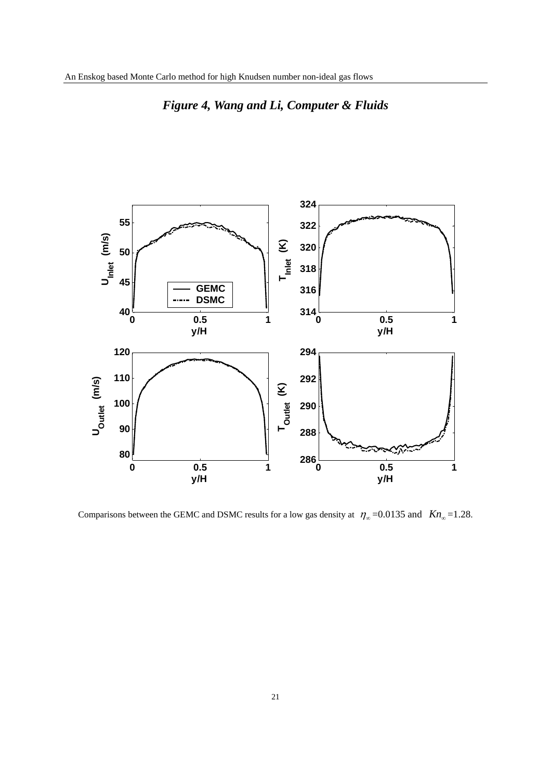

*Figure 4, Wang and Li, Computer & Fluids* 

Comparisons between the GEMC and DSMC results for a low gas density at  $\eta_{\infty}$  =0.0135 and *Kn*<sub>∞</sub> =1.28.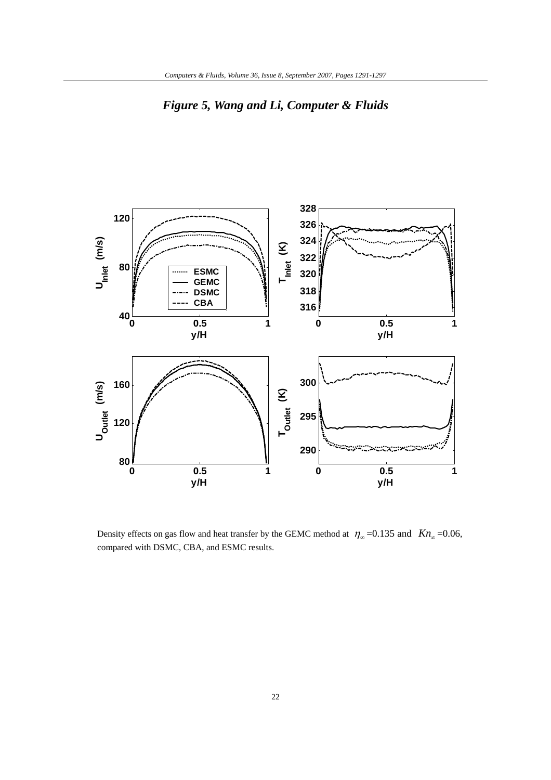



Density effects on gas flow and heat transfer by the GEMC method at  $\eta_{\infty}$  =0.135 and *Kn*<sub>∞</sub> =0.06, compared with DSMC, CBA, and ESMC results.